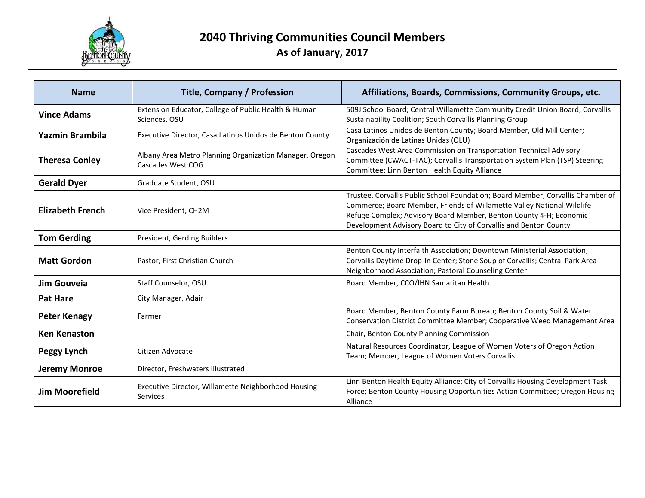

| <b>Name</b>             | <b>Title, Company / Profession</b>                                           | Affiliations, Boards, Commissions, Community Groups, etc.                                                                                                                                                                                                                                            |
|-------------------------|------------------------------------------------------------------------------|------------------------------------------------------------------------------------------------------------------------------------------------------------------------------------------------------------------------------------------------------------------------------------------------------|
| <b>Vince Adams</b>      | Extension Educator, College of Public Health & Human<br>Sciences, OSU        | 509J School Board; Central Willamette Community Credit Union Board; Corvallis<br>Sustainability Coalition; South Corvallis Planning Group                                                                                                                                                            |
| Yazmin Brambila         | Executive Director, Casa Latinos Unidos de Benton County                     | Casa Latinos Unidos de Benton County; Board Member, Old Mill Center;<br>Organización de Latinas Unidas (OLU)                                                                                                                                                                                         |
| <b>Theresa Conley</b>   | Albany Area Metro Planning Organization Manager, Oregon<br>Cascades West COG | Cascades West Area Commission on Transportation Technical Advisory<br>Committee (CWACT-TAC); Corvallis Transportation System Plan (TSP) Steering<br>Committee; Linn Benton Health Equity Alliance                                                                                                    |
| <b>Gerald Dyer</b>      | Graduate Student, OSU                                                        |                                                                                                                                                                                                                                                                                                      |
| <b>Elizabeth French</b> | Vice President, CH2M                                                         | Trustee, Corvallis Public School Foundation; Board Member, Corvallis Chamber of<br>Commerce; Board Member, Friends of Willamette Valley National Wildlife<br>Refuge Complex; Advisory Board Member, Benton County 4-H; Economic<br>Development Advisory Board to City of Corvallis and Benton County |
| <b>Tom Gerding</b>      | President, Gerding Builders                                                  |                                                                                                                                                                                                                                                                                                      |
| <b>Matt Gordon</b>      | Pastor, First Christian Church                                               | Benton County Interfaith Association; Downtown Ministerial Association;<br>Corvallis Daytime Drop-In Center; Stone Soup of Corvallis; Central Park Area<br>Neighborhood Association; Pastoral Counseling Center                                                                                      |
| Jim Gouveia             | Staff Counselor, OSU                                                         | Board Member, CCO/IHN Samaritan Health                                                                                                                                                                                                                                                               |
| <b>Pat Hare</b>         | City Manager, Adair                                                          |                                                                                                                                                                                                                                                                                                      |
| <b>Peter Kenagy</b>     | Farmer                                                                       | Board Member, Benton County Farm Bureau; Benton County Soil & Water<br>Conservation District Committee Member; Cooperative Weed Management Area                                                                                                                                                      |
| <b>Ken Kenaston</b>     |                                                                              | Chair, Benton County Planning Commission                                                                                                                                                                                                                                                             |
| Peggy Lynch             | Citizen Advocate                                                             | Natural Resources Coordinator, League of Women Voters of Oregon Action<br>Team; Member, League of Women Voters Corvallis                                                                                                                                                                             |
| <b>Jeremy Monroe</b>    | Director, Freshwaters Illustrated                                            |                                                                                                                                                                                                                                                                                                      |
| <b>Jim Moorefield</b>   | Executive Director, Willamette Neighborhood Housing<br><b>Services</b>       | Linn Benton Health Equity Alliance; City of Corvallis Housing Development Task<br>Force; Benton County Housing Opportunities Action Committee; Oregon Housing<br>Alliance                                                                                                                            |